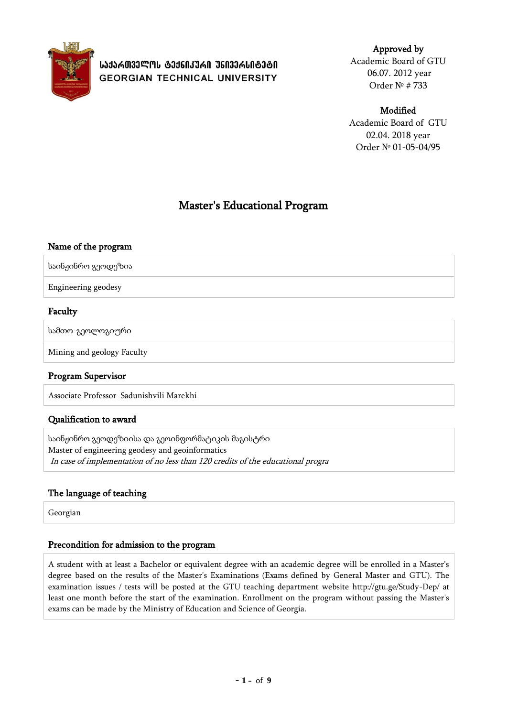

# **ᲡᲐᲥᲐᲠᲗᲕᲔᲚᲝᲡ ᲢᲔᲥᲜᲘᲙᲣᲠᲘ ᲣᲜᲘᲕᲔᲠᲡᲘᲢᲔᲢᲘ GEORGIAN TECHNICAL UNIVERSITY**

Approved by

Academic Board of GTU 06.07. 2012 year Order № # 733

## **Modified**

Academic Board of GTU 02.04. 2018 year Order № 01-05-04/95

# Master's Educational Program

### Name of the program

საინჟინრო გეოდეზია

Engineering geodesy

### Faculty

სამთო-გეოლოგიური

Mining and geology Faculty

### Program Supervisor

Associate Professor Sadunishvili Marekhi

### Qualification to award

საინჟინრო გეოდეზიისა და გეოინფორმატიკის მაგისტრი Master of engineering geodesy and geoinformatics In case of implementation of no less than 120 credits of the educational progra

## The language of teaching

Georgian

## Precondition for admission to the program

A student with at least a Bachelor or equivalent degree with an academic degree will be enrolled in a Master's degree based on the results of the Master's Examinations (Exams defined by General Master and GTU). The examination issues / tests will be posted at the GTU teaching department website http://gtu.ge/Study-Dep/ at least one month before the start of the examination. Enrollment on the program without passing the Master's exams can be made by the Ministry of Education and Science of Georgia.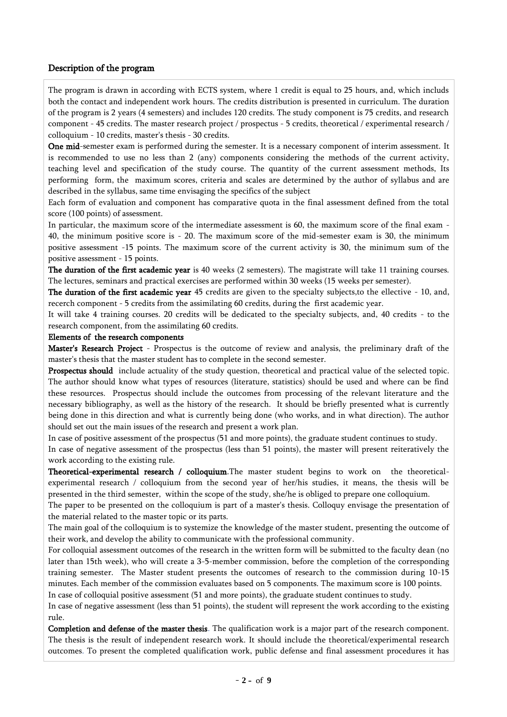#### Description of the program

The program is drawn in according with ECTS system, where 1 credit is equal to 25 hours, and, which includs both the contact and independent work hours. The credits distribution is presented in curriculum. The duration of the program is 2 years (4 semesters) and includes 120 credits. The study component is 75 credits, and research component - 45 credits. The master research project / prospectus - 5 credits, theoretical / experimental research / colloquium - 10 credits, master's thesis - 30 credits.

One mid-semester exam is performed during the semester. It is a necessary component of interim assessment. It is recommended to use no less than 2 (any) components considering the methods of the current activity, teaching level and specification of the study course. The quantity of the current assessment methods, Its performing form, the maximum scores, criteria and scales are determined by the author of syllabus and are described in the syllabus, same time envisaging the specifics of the subject

Each form of evaluation and component has comparative quota in the final assessment defined from the total score (100 points) of assessment.

In particular, the maximum score of the intermediate assessment is 60, the maximum score of the final exam - 40, the minimum positive score is - 20. The maximum score of the mid-semester exam is 30, the minimum positive assessment -15 points. The maximum score of the current activity is 30, the minimum sum of the positive assessment - 15 points.

The duration of the first academic year is 40 weeks (2 semesters). The magistrate will take 11 training courses. The lectures, seminars and practical exercises are performed within 30 weeks (15 weeks per semester).

The duration of the first academic year 45 credits are given to the specialty subjects,to the ellective - 10, and, recerch component - 5 credits from the assimilating 60 credits, during the first academic year.

It will take 4 training courses. 20 credits will be dedicated to the specialty subjects, and, 40 credits - to the research component, from the assimilating 60 credits.

#### Elements of the research components

Master's Research Project - Prospectus is the outcome of review and analysis, the preliminary draft of the master's thesis that the master student has to complete in the second semester.

Prospectus should include actuality of the study question, theoretical and practical value of the selected topic. The author should know what types of resources (literature, statistics) should be used and where can be find these resources. Prospectus should include the outcomes from processing of the relevant literature and the necessary bibliography, as well as the history of the research. It should be briefly presented what is currently being done in this direction and what is currently being done (who works, and in what direction). The author should set out the main issues of the research and present a work plan.

In case of positive assessment of the prospectus (51 and more points), the graduate student continues to study.

In case of negative assessment of the prospectus (less than 51 points), the master will present reiteratively the work according to the existing rule.

Theoretical-experimental research / colloquium.The master student begins to work on the theoreticalexperimental research / colloquium from the second year of her/his studies, it means, the thesis will be presented in the third semester, within the scope of the study, she/he is obliged to prepare one colloquium.

The paper to be presented on the colloquium is part of a master's thesis. Colloquy envisage the presentation of the material related to the master topic or its parts.

The main goal of the colloquium is to systemize the knowledge of the master student, presenting the outcome of their work, and develop the ability to communicate with the professional community.

For colloquial assessment outcomes of the research in the written form will be submitted to the faculty dean (no later than 15th week), who will create a 3-5-member commission, before the completion of the corresponding training semester. The Master student presents the outcomes of research to the commission during 10-15 minutes. Each member of the commission evaluates based on 5 components. The maximum score is 100 points. In case of colloquial positive assessment (51 and more points), the graduate student continues to study.

In case of negative assessment (less than 51 points), the student will represent the work according to the existing rule.

Completion and defense of the master thesis. The qualification work is a major part of the research component. The thesis is the result of independent research work. It should include the theoretical/experimental research outcomes. To present the completed qualification work, public defense and final assessment procedures it has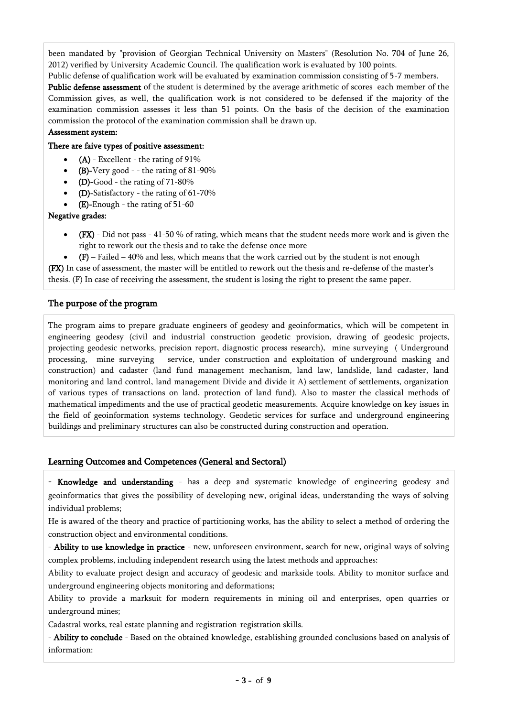been mandated by "provision of Georgian Technical University on Masters" (Resolution No. 704 of June 26, 2012) verified by University Academic Council. The qualification work is evaluated by 100 points.

Public defense of qualification work will be evaluated by examination commission consisting of 5-7 members.

Public defense assessment of the student is determined by the average arithmetic of scores each member of the Commission gives, as well, the qualification work is not considered to be defensed if the majority of the examination commission assesses it less than 51 points. On the basis of the decision of the examination commission the protocol of the examination commission shall be drawn up.

## Assessment system:

## There are faive types of positive assessment:

- $(A)$  Excellent the rating of 91%
- $(B)$ -Very good - the rating of 81-90%
- (D)-Good the rating of 71-80%
- (D)-Satisfactory the rating of 61-70%
- (E)-Enough the rating of 51-60

## Negative grades:

- (FX) Did not pass 41-50 % of rating, which means that the student needs more work and is given the right to rework out the thesis and to take the defense once more
- $(F)$  Failed 40% and less, which means that the work carried out by the student is not enough

(FX) In case of assessment, the master will be entitled to rework out the thesis and re-defense of the master's thesis. (F) In case of receiving the assessment, the student is losing the right to present the same paper.

## The purpose of the program

The program aims to prepare graduate engineers of geodesy and geoinformatics, which will be competent in engineering geodesy (civil and industrial construction geodetic provision, drawing of geodesic projects, projecting geodesic networks, precision report, diagnostic process research), mine surveying ( Underground processing, mine surveying service, under construction and exploitation of underground masking and construction) and cadaster (land fund management mechanism, land law, landslide, land cadaster, land monitoring and land control, land management Divide and divide it A) settlement of settlements, organization of various types of transactions on land, protection of land fund). Also to master the classical methods of mathematical impediments and the use of practical geodetic measurements. Acquire knowledge on key issues in the field of geoinformation systems technology. Geodetic services for surface and underground engineering buildings and preliminary structures can also be constructed during construction and operation.

## Learning Outcomes and Competences (General and Sectoral)

- Knowledge and understanding - has a deep and systematic knowledge of engineering geodesy and geoinformatics that gives the possibility of developing new, original ideas, understanding the ways of solving individual problems;

He is awared of the theory and practice of partitioning works, has the ability to select a method of ordering the construction object and environmental conditions.

- Ability to use knowledge in practice - new, unforeseen environment, search for new, original ways of solving complex problems, including independent research using the latest methods and approaches:

Ability to evaluate project design and accuracy of geodesic and markside tools. Ability to monitor surface and underground engineering objects monitoring and deformations;

Ability to provide a marksuit for modern requirements in mining oil and enterprises, open quarries or underground mines;

Cadastral works, real estate planning and registration-registration skills.

- Ability to conclude - Based on the obtained knowledge, establishing grounded conclusions based on analysis of information: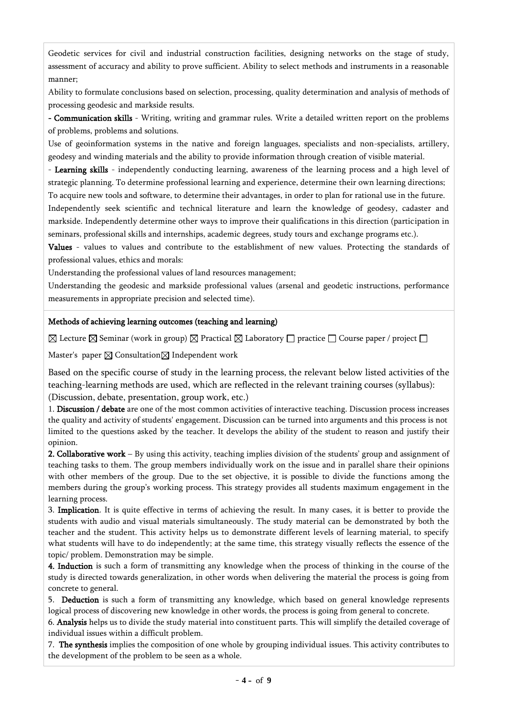Geodetic services for civil and industrial construction facilities, designing networks on the stage of study, assessment of accuracy and ability to prove sufficient. Ability to select methods and instruments in a reasonable manner;

Ability to formulate conclusions based on selection, processing, quality determination and analysis of methods of processing geodesic and markside results.

- Communication skills - Writing, writing and grammar rules. Write a detailed written report on the problems of problems, problems and solutions.

Use of geoinformation systems in the native and foreign languages, specialists and non-specialists, artillery, geodesy and winding materials and the ability to provide information through creation of visible material.

- Learning skills - independently conducting learning, awareness of the learning process and a high level of strategic planning. To determine professional learning and experience, determine their own learning directions; To acquire new tools and software, to determine their advantages, in order to plan for rational use in the future. Independently seek scientific and technical literature and learn the knowledge of geodesy, cadaster and

markside. Independently determine other ways to improve their qualifications in this direction (participation in seminars, professional skills and internships, academic degrees, study tours and exchange programs etc.).

Values - values to values and contribute to the establishment of new values. Protecting the standards of professional values, ethics and morals:

Understanding the professional values of land resources management;

Understanding the geodesic and markside professional values (arsenal and geodetic instructions, performance measurements in appropriate precision and selected time).

#### Methods of achieving learning outcomes (teaching and learning)

 $\boxtimes$  Lecture  $\boxtimes$  Seminar (work in group)  $\boxtimes$  Practical  $\boxtimes$  Laboratory  $\Box$  practice  $\Box$  Course paper / project  $\Box$ 

Master's paper  $\boxtimes$  Consultation  $\boxtimes$  Independent work

Based on the specific course of study in the learning process, the relevant below listed activities of the teaching-learning methods are used, which are reflected in the relevant training courses (syllabus): (Discussion, debate, presentation, group work, etc.)

1. Discussion / debate are one of the most common activities of interactive teaching. Discussion process increases the quality and activity of students' engagement. Discussion can be turned into arguments and this process is not limited to the questions asked by the teacher. It develops the ability of the student to reason and justify their opinion.

**2. Collaborative work** – By using this activity, teaching implies division of the students' group and assignment of teaching tasks to them. The group members individually work on the issue and in parallel share their opinions with other members of the group. Due to the set objective, it is possible to divide the functions among the members during the group's working process. This strategy provides all students maximum engagement in the learning process.

3. Implication. It is quite effective in terms of achieving the result. In many cases, it is better to provide the students with audio and visual materials simultaneously. The study material can be demonstrated by both the teacher and the student. This activity helps us to demonstrate different levels of learning material, to specify what students will have to do independently; at the same time, this strategy visually reflects the essence of the topic/ problem. Demonstration may be simple.

4. Induction is such a form of transmitting any knowledge when the process of thinking in the course of the study is directed towards generalization, in other words when delivering the material the process is going from concrete to general.

5. Deduction is such a form of transmitting any knowledge, which based on general knowledge represents logical process of discovering new knowledge in other words, the process is going from general to concrete.

6. Analysis helps us to divide the study material into constituent parts. This will simplify the detailed coverage of individual issues within a difficult problem.

7. The synthesis implies the composition of one whole by grouping individual issues. This activity contributes to the development of the problem to be seen as a whole.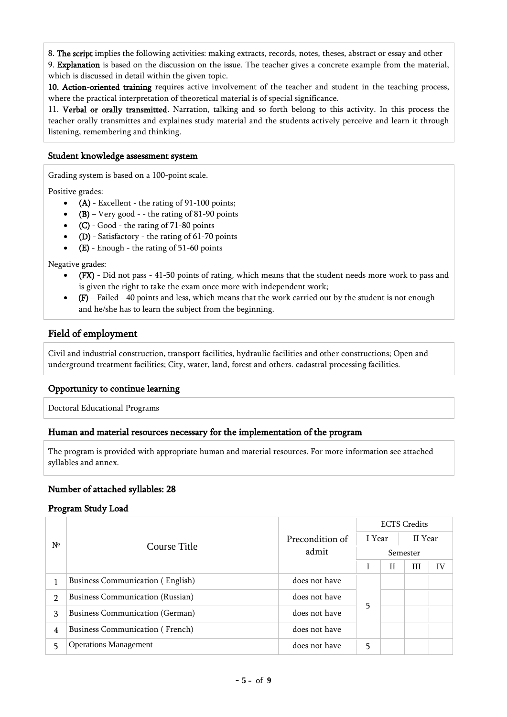8. The script implies the following activities: making extracts, records, notes, theses, abstract or essay and other

9. Explanation is based on the discussion on the issue. The teacher gives a concrete example from the material, which is discussed in detail within the given topic.

10. Action-oriented training requires active involvement of the teacher and student in the teaching process, where the practical interpretation of theoretical material is of special significance.

11. Verbal or orally transmitted. Narration, talking and so forth belong to this activity. In this process the teacher orally transmittes and explaines study material and the students actively perceive and learn it through listening, remembering and thinking.

### Student knowledge assessment system

Grading system is based on a 100-point scale.

Positive grades:

- (A) Excellent the rating of 91-100 points;
- $(B)$  Very good - the rating of 81-90 points
- $(C)$  Good the rating of 71-80 points
- (D) Satisfactory the rating of 61-70 points
- (E) Enough the rating of 51-60 points

Negative grades:

- (FX) Did not pass 41-50 points of rating, which means that the student needs more work to pass and is given the right to take the exam once more with independent work;
- $\bullet$  (F) Failed 40 points and less, which means that the work carried out by the student is not enough and he/she has to learn the subject from the beginning.

## Field of employment

Civil and industrial construction, transport facilities, hydraulic facilities and other constructions; Open and underground treatment facilities; City, water, land, forest and others. cadastral processing facilities.

### Opportunity to continue learning

Doctoral Educational Programs

### Human and material resources necessary for the implementation of the program

The program is provided with appropriate human and material resources. For more information see attached syllables and annex.

#### Number of attached syllables: 28

#### Program Study Load

|                |                                  |                 |        | <b>ECTS Credits</b> |         |  |  |  |
|----------------|----------------------------------|-----------------|--------|---------------------|---------|--|--|--|
| $N^{\circ}$    |                                  | Precondition of | I Year |                     | II Year |  |  |  |
|                | Course Title                     | admit           |        | Semester<br>Ш<br>IV |         |  |  |  |
|                |                                  |                 |        | $\mathbf{H}$        |         |  |  |  |
|                | Business Communication (English) | does not have   |        |                     |         |  |  |  |
| 2              | Business Communication (Russian) | does not have   |        |                     |         |  |  |  |
| 3              | Business Communication (German)  | does not have   | 5      |                     |         |  |  |  |
| $\overline{4}$ | Business Communication (French)  | does not have   |        |                     |         |  |  |  |
| 5              | <b>Operations Management</b>     | does not have   | 5      |                     |         |  |  |  |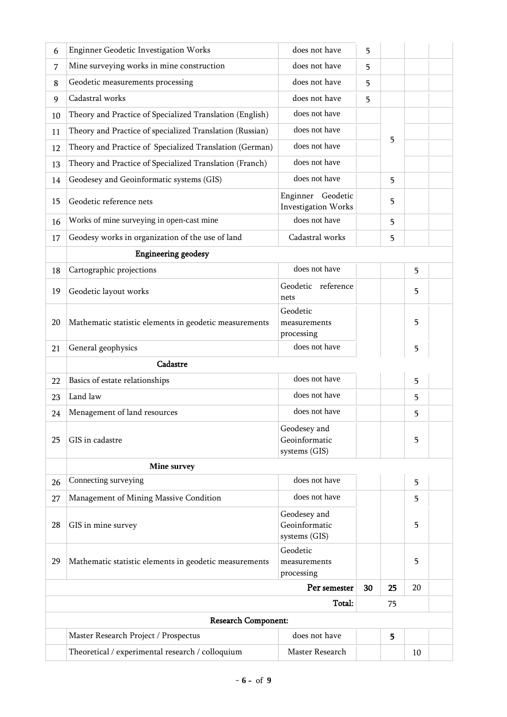| 6  | <b>Enginner Geodetic Investigation Works</b>             | does not have                                  | 5  |    |    |  |
|----|----------------------------------------------------------|------------------------------------------------|----|----|----|--|
| 7  | Mine surveying works in mine construction                | does not have                                  | 5  |    |    |  |
| 8  | Geodetic measurements processing                         | does not have                                  | 5  |    |    |  |
| 9  | Cadastral works                                          | does not have                                  | 5  |    |    |  |
| 10 | Theory and Practice of Specialized Translation (English) | does not have                                  |    |    |    |  |
| 11 | Theory and Practice of specialized Translation (Russian) | does not have                                  |    |    |    |  |
| 12 | Theory and Practice of Specialized Translation (German)  | does not have                                  |    | 5  |    |  |
| 13 | Theory and Practice of Specialized Translation (Franch)  | does not have                                  |    |    |    |  |
| 14 | Geodesey and Geoinformatic systems (GIS)                 | does not have                                  |    | 5  |    |  |
| 15 | Geodetic reference nets                                  | Enginner Geodetic<br>Investigation Works       |    | 5  |    |  |
| 16 | Works of mine surveying in open-cast mine                | does not have                                  |    | 5  |    |  |
| 17 | Geodesy works in organization of the use of land         | Cadastral works                                |    | 5  |    |  |
|    | <b>Engineering geodesy</b>                               |                                                |    |    |    |  |
| 18 | Cartographic projections                                 | does not have                                  |    |    | 5  |  |
| 19 | Geodetic layout works                                    | Geodetic reference<br>nets                     |    |    | 5  |  |
| 20 | Mathematic statistic elements in geodetic measurements   | Geodetic<br>measurements<br>processing         |    |    | 5  |  |
| 21 | General geophysics                                       | does not have                                  |    |    | 5  |  |
|    | Cadastre                                                 |                                                |    |    |    |  |
| 22 | Basics of estate relationships                           | does not have                                  |    |    | 5  |  |
| 23 | Land law                                                 | does not have                                  |    |    | 5  |  |
| 24 | Menagement of land resources                             | does not have                                  |    |    | 5  |  |
| 25 | GIS in cadastre                                          | Geodesey and<br>Geoinformatic<br>systems (GIS) |    |    | 5  |  |
|    | <b>Mine survey</b>                                       |                                                |    |    |    |  |
| 26 | Connecting surveying                                     | does not have                                  |    |    | 5  |  |
| 27 | Management of Mining Massive Condition                   | does not have                                  |    |    | 5  |  |
| 28 | GIS in mine survey                                       | Geodesey and<br>Geoinformatic<br>systems (GIS) |    |    | 5  |  |
| 29 | Mathematic statistic elements in geodetic measurements   | Geodetic<br>measurements<br>processing         |    |    | 5  |  |
|    |                                                          | 30                                             | 25 | 20 |    |  |
|    |                                                          | Total:                                         |    | 75 |    |  |
|    | <b>Research Component:</b>                               |                                                |    |    |    |  |
|    | Master Research Project / Prospectus                     | does not have                                  |    | 5  |    |  |
|    | Theoretical / experimental research / colloquium         | Master Research                                |    |    | 10 |  |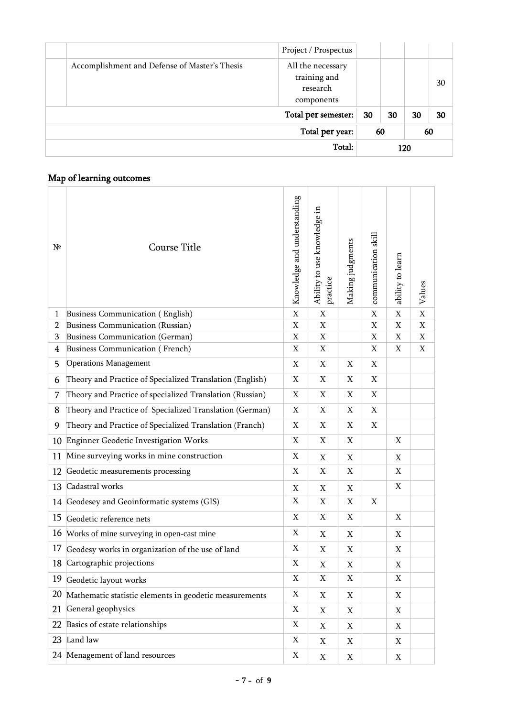| Accomplishment and Defense of Master's Thesis | All the necessary<br>training and<br>research<br>components<br>Total per semester: | 30 | 30 | 30 | 30<br>30 |
|-----------------------------------------------|------------------------------------------------------------------------------------|----|----|----|----------|
|                                               | Total per year:                                                                    | 60 |    |    | 60       |
|                                               | Total:<br>120                                                                      |    |    |    |          |

# Map of learning outcomes

| N <sup>o</sup> | Course Title                                              | Knowledge and understanding | Ability to use knowledge in<br>practice | Making judgments | communication skill | ability to learn | Values      |
|----------------|-----------------------------------------------------------|-----------------------------|-----------------------------------------|------------------|---------------------|------------------|-------------|
| $\mathbf{1}$   | Business Communication (English)                          | $\overline{X}$              | $\mathbf X$                             |                  | $\mathbf X$         | $\mathbf X$      | $\mathbf X$ |
| $\overline{2}$ | Business Communication (Russian)                          | $\mathbf X$                 | X                                       |                  | $\mathbf X$         | $\mathbf X$      | $\mathbf X$ |
| 3              | Business Communication (German)                           | $\mathbf X$                 | X                                       |                  | $\mathbf X$         | $\mathbf X$      | X           |
| 4              | Business Communication (French)                           | X                           | X                                       |                  | X                   | X                | X           |
| 5              | <b>Operations Management</b>                              | X                           | X                                       | X                | X                   |                  |             |
| 6              | Theory and Practice of Specialized Translation (English)  | X                           | Χ                                       | X                | X                   |                  |             |
| 7              | Theory and Practice of specialized Translation (Russian)  | X                           | X                                       | X                | X                   |                  |             |
| 8              | Theory and Practice of Specialized Translation (German)   | X                           | X                                       | X                | X                   |                  |             |
| 9              | Theory and Practice of Specialized Translation (Franch)   | X                           | Χ                                       | X                | X                   |                  |             |
| 10             | Enginner Geodetic Investigation Works                     | X                           | Χ                                       | X                |                     | X                |             |
| 11             | Mine surveying works in mine construction                 | X                           | X                                       | X                |                     | X                |             |
| 12             | Geodetic measurements processing                          | X                           | X                                       | X                |                     | X                |             |
| 13             | Cadastral works                                           | X                           | X                                       | $\mathbf X$      |                     | $\mathbf X$      |             |
| 14             | Geodesey and Geoinformatic systems (GIS)                  | X                           | X                                       | X                | X                   |                  |             |
| 15             | Geodetic reference nets                                   | X                           | X                                       | X                |                     | X                |             |
| 16             | Works of mine surveying in open-cast mine                 | X                           | X                                       | X                |                     | X                |             |
| 17             | Geodesy works in organization of the use of land          | X                           | X                                       | X                |                     | X                |             |
|                | 18 Cartographic projections                               | X                           | $\mathbf X$                             | X                |                     | X                |             |
| 19             | Geodetic layout works                                     | X                           | X                                       | X                |                     | X                |             |
|                | 20 Mathematic statistic elements in geodetic measurements | X                           | X                                       | X                |                     | X                |             |
| 21             | General geophysics                                        | X                           | X                                       | X                |                     | X                |             |
| 22             | Basics of estate relationships                            | X                           | X                                       | X                |                     | X                |             |
|                | 23 Land law                                               | X                           | X                                       | X                |                     | X                |             |
|                | 24 Menagement of land resources                           | X                           | X                                       | X                |                     | X                |             |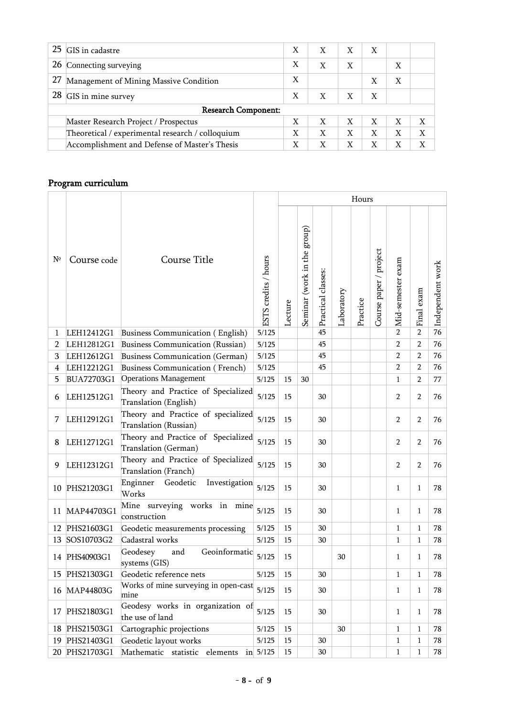|                            | $25$ GIS in cadastre                             | X | X | X | X |   |   |  |  |  |
|----------------------------|--------------------------------------------------|---|---|---|---|---|---|--|--|--|
|                            | 26 Connecting surveying                          | X | Χ | X |   | Χ |   |  |  |  |
| 27                         | Management of Mining Massive Condition           | X |   |   |   | Χ |   |  |  |  |
| 28                         | GIS in mine survey                               | X | X | X | X |   |   |  |  |  |
| <b>Research Component:</b> |                                                  |   |   |   |   |   |   |  |  |  |
|                            | Master Research Project / Prospectus             | Χ | X | X | X | X | X |  |  |  |
|                            | Theoretical / experimental research / colloquium | X | X | X | X | X | X |  |  |  |
|                            | Accomplishment and Defense of Master's Thesis    | Χ | X | X | X | Χ | X |  |  |  |

## Program curriculum

|             |               |                                                             |                      | Hours   |                             |                    |            |          |                        |                   |                |                  |
|-------------|---------------|-------------------------------------------------------------|----------------------|---------|-----------------------------|--------------------|------------|----------|------------------------|-------------------|----------------|------------------|
| $N^{\circ}$ | Course code   | Course Title                                                | ESTS credits / hours | Lecture | Seminar (work in the group) | Practical classes: | Laboratory | Practice | Course paper / project | Mid-semester exam | Final exam     | Independent work |
| 1           | LEH12412G1    | Business Communication (English)                            | 5/125                |         |                             | 45                 |            |          |                        | $\overline{2}$    | $\overline{2}$ | 76               |
| 2           | LEH12812G1    | Business Communication (Russian)                            | 5/125                |         |                             | 45                 |            |          |                        | $\overline{2}$    | $\overline{2}$ | 76               |
| 3           | LEH12612G1    | Business Communication (German)                             | 5/125                |         |                             | 45                 |            |          |                        | $\overline{2}$    | $\overline{2}$ | 76               |
| 4           | LEH12212G1    | <b>Business Communication (French)</b>                      | 5/125                |         |                             | 45                 |            |          |                        | 2                 | $\overline{2}$ | 76               |
| 5           | BUA72703G1    | <b>Operations Management</b>                                | 5/125                | 15      | 30                          |                    |            |          |                        | $\mathbf{1}$      | $\overline{2}$ | 77               |
| 6           | LEH12512G1    | Theory and Practice of Specialized<br>Translation (English) | 5/125                | 15      |                             | 30                 |            |          |                        | $\overline{2}$    | 2              | 76               |
| 7           | LEH12912G1    | Theory and Practice of specialized<br>Translation (Russian) | 5/125                | 15      |                             | 30                 |            |          |                        | $\overline{2}$    | $\overline{2}$ | 76               |
| 8           | LEH12712G1    | Theory and Practice of Specialized<br>Translation (German)  | 5/125                | 15      |                             | 30                 |            |          |                        | $\overline{2}$    | $\overline{2}$ | 76               |
| 9           | LEH12312G1    | Theory and Practice of Specialized<br>Translation (Franch)  | 5/125                | 15      |                             | 30                 |            |          |                        | $\overline{2}$    | $\overline{2}$ | 76               |
| 10          | PHS21203G1    | Enginner<br>Geodetic<br>Investigation<br>Works              | 5/125                | 15      |                             | 30                 |            |          |                        | $\mathbf{1}$      | 1              | 78               |
| 11          | MAP44703G1    | Mine surveying works in mine<br>construction                | 5/125                | 15      |                             | 30                 |            |          |                        | $\mathbf{1}$      | $\mathbf{1}$   | 78               |
| 12          | PHS21603G1    | Geodetic measurements processing                            | 5/125                | 15      |                             | 30                 |            |          |                        | $\mathbf{1}$      | $\mathbf{1}$   | 78               |
| 13          | SOS10703G2    | Cadastral works                                             | 5/125                | 15      |                             | 30                 |            |          |                        | 1                 | 1              | 78               |
|             | 14 PHS40903G1 | Geoinformatic<br>Geodesey<br>and<br>systems (GIS)           | 5/125                | 15      |                             |                    | 30         |          |                        | 1                 | $\mathbf{1}$   | 78               |
|             | 15 PHS21303G1 | Geodetic reference nets                                     | 5/125                | 15      |                             | 30                 |            |          |                        | $\mathbf{1}$      | $\mathbf{1}$   | 78               |
|             | 16 MAP44803G  | Works of mine surveying in open-cast<br>mine                | $5/125$              | 15      |                             | 30                 |            |          |                        | $\mathbf{1}$      | $\mathbf{1}$   | 78               |
| 17          | PHS21803G1    | Geodesy works in organization of<br>the use of land         | 5/125                | 15      |                             | 30                 |            |          |                        | 1                 | $\mathbf{1}$   | 78               |
| 18          | PHS21503G1    | Cartographic projections                                    | 5/125                | 15      |                             |                    | 30         |          |                        | 1                 | 1              | 78               |
|             | 19 PHS21403G1 | Geodetic layout works                                       | 5/125                | 15      |                             | 30                 |            |          |                        | $\mathbf{1}$      | $\mathbf{1}$   | 78               |
|             | 20 PHS21703G1 | Mathematic statistic elements                               | in $5/125$           | 15      |                             | 30                 |            |          |                        | $\mathbf{1}$      | $\mathbf{1}$   | 78               |